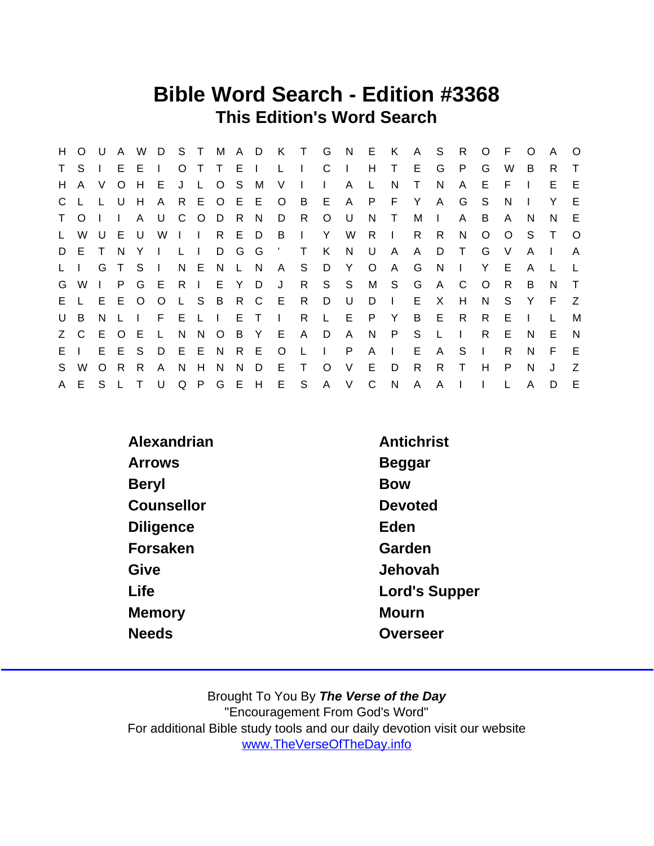### Bible Word Search - Edition #3368 This Edition's Word Search

| H.           | $O$ U     |              | $\mathsf{A}$ | W            |              |            |                           |           |          |       |              |                |              | D S T M A D K T G N E K A S |              |                |              |              | $\mathsf{R}$ | $\circ$      | - F     | $\Omega$ | A      | $\circ$      |
|--------------|-----------|--------------|--------------|--------------|--------------|------------|---------------------------|-----------|----------|-------|--------------|----------------|--------------|-----------------------------|--------------|----------------|--------------|--------------|--------------|--------------|---------|----------|--------|--------------|
| $\mathsf T$  | S.        |              | E.           | E            | $\mathbf{I}$ | $\circ$    |                           | T T       | $E \cup$ |       | $\mathsf{L}$ | $\blacksquare$ | C.           | $\Box$                      | H            | T.             | E.           | G            | P.           | G            | W       | B        | R.     | $\mathsf{T}$ |
| H.           | A         | V            | $\circ$      | H            | E.           |            | J L O                     |           | S.       | M     | V            | $\mathbf{L}$   | $\mathbf{L}$ | $\mathsf{A}$                | L.           | N              | Τ            | N            | A            | E            | F       |          | E.     | E            |
|              | C L       |              | L U          | H            | A            |            |                           | R E O E E |          |       | $\circ$      | $\overline{B}$ |              | E A                         | P.           | F.             | Y            | $\mathsf{A}$ | G            | S            | N       |          | Y      | E            |
|              | T O       |              | $\perp$      | $\mathsf{A}$ | U            | C          |                           | ODR       |          | N,    | D            | R.             | $\circ$      | – U                         | N.           | $\top$         | M            | $\Box$       | A            | B            | A       | N        | N.     | E            |
| $\mathsf{L}$ | W         |              | $U$ $E$ $U$  |              | W            |            | $\mathbf{1}$ $\mathbf{1}$ |           | R E D    |       | - B          | $\Box$         | Y            | - W                         | R.           | $\mathbf{I}$   | R.           | R.           | N            | O            | $\circ$ | S.       | $\top$ | $\circ$      |
|              | D E       | $\top$       | - N          | Y.           | $\mathbf{I}$ | $L \perp$  |                           |           | D G G    |       |              | $\top$         | K            | N                           | U            | $\mathsf{A}$   | A            | D            | $\top$       | G            | V       | A        |        | A            |
| $L \quad L$  |           | G            | T S          |              | $\Box$       |            | N E N                     |           | L N      |       | $\mathsf{A}$ | S.             | D            | Y                           | $\circ$      | $\mathsf{A}$   | G            | <sup>N</sup> |              | Y            | E       | A        |        |              |
| G            | W         | $\mathbf{L}$ | P            | G            | - E          |            | $R$                       |           | E Y D    |       | J            | R              |              | $S$ $S$                     |              | M S            | G            | $\mathsf{A}$ | C            | $\circ$      | R.      | B        | N      | $\top$       |
|              | E L E E O |              |              |              | $\circ$      |            |                           | L S B R C |          |       | - E          | R              | D            | U U                         | D            | $\mathbb{R}^n$ | E.           | X            | H            | N            | S.      | Y        | F.     | Z            |
| U            | B         |              | N L          | $\mathbf{1}$ | $F_{\perp}$  | $E \cup I$ |                           |           |          | E T   | $\mathbf{1}$ | R.             | $\mathsf{L}$ | E                           | P            | Y              | B            | E.           | $\mathsf{R}$ | R.           | E       |          |        | M            |
|              | Z C E O   |              |              | - E          | $\mathsf{L}$ | N.         |                           | N O       |          | B Y E |              | $\mathsf{A}$   | D            | A                           | N.           | P              | S S          | $\mathsf{L}$ | $\mathbf{I}$ | R.           | Е       | N        | E.     | N,           |
|              | EI        |              | E E S        |              | D            | E E N      |                           |           | R E      |       | $\circ$      | $\mathsf{L}$   | $\mathbf{I}$ | P                           | $\mathsf{A}$ | $\Box$         | E.           | A            | <sub>S</sub> | $\mathbf{I}$ | R.      | N.       | F.     | -E           |
| S.           | W         | O R          |              | R.           | A            | N.         | H                         | N         | N.       | D     | Е            | $\top$         | $\circ$      | $\vee$                      | E.           | D              | $\mathsf{R}$ | R.           | $\top$       | H            | P       | N        | J      | Z            |
|              | A E       | S L          |              | $\top$       | U            |            | Q P G                     |           | E H      |       | E S          |                | A            | V                           | $\mathsf{C}$ | N              | $\mathsf{A}$ | A            |              |              |         | A        | D      | E            |

| Alexandrian      | Antichrist    |
|------------------|---------------|
| <b>Arrows</b>    | Beggar        |
| Beryl            | <b>Bow</b>    |
| Counsellor       | Devoted       |
| <b>Diligence</b> | Eden          |
| Forsaken         | Garden        |
| Give             | Jehovah       |
| Life             | Lord's Supper |
| Memory           | Mourn         |
| <b>Needs</b>     | Overseer      |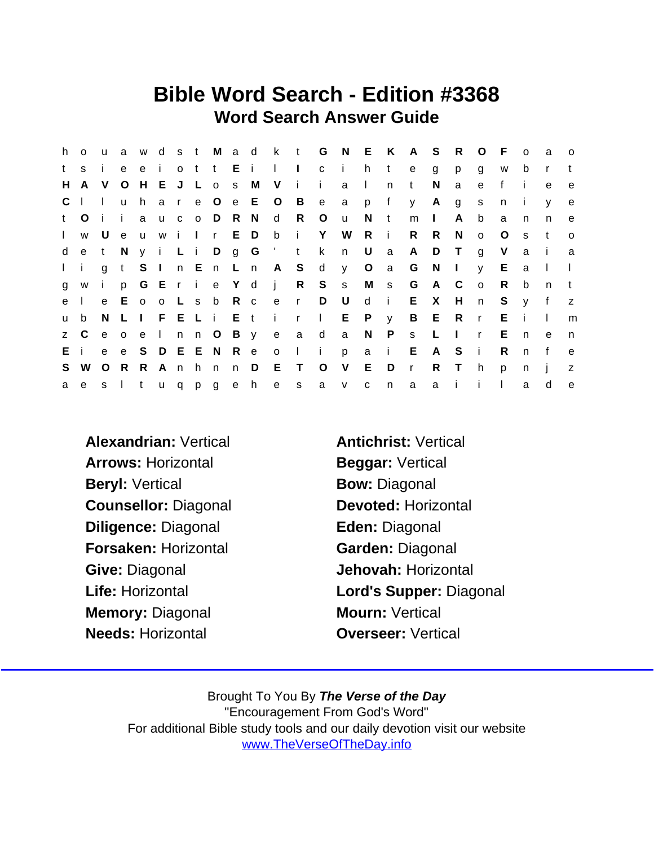### Bible Word Search - Edition #3368 Word Search Answer Guide

|              | h o | $\mathsf{u}$ |              | a w            |              |     |      |                 |               |                      |                       |              |              |              |              | d s t M a d k t G N E K A S |              | R              | $\circ$      | - F          | $\Omega$     | - a            | $\circ$ |
|--------------|-----|--------------|--------------|----------------|--------------|-----|------|-----------------|---------------|----------------------|-----------------------|--------------|--------------|--------------|--------------|-----------------------------|--------------|----------------|--------------|--------------|--------------|----------------|---------|
| t.           | S.  |              | e            | e              | $\mathbf{i}$ |     |      | ott Ei          |               | $\mathbf{1}$         | $\sim 1$              | $\mathbf{C}$ | - i -        | h            | $\mathsf{t}$ | e                           | g            | p              | g            | W            | b            | r              |         |
| H.           | A   | V            | $\circ$      | H              |              | E J |      | L o s           | M             | V                    | $\mathbf{i}$          | j.           | a            | $\perp$      | n            | $\mathsf{t}$                | N            | a              | e            | $\mathbf{f}$ |              | e              | e       |
| $\mathsf{C}$ |     | $\mathbf{L}$ | <b>u</b>     | h.             |              |     |      |                 | a r e O e E O |                      | $\overline{B}$        | e            | a            | p            | f            | y                           | $\mathsf{A}$ | g              | s            | n            |              | V              | e       |
| t            | O   | - i -        | $\mathbf{i}$ | a              |              |     |      | u c o D R N     |               | d                    | $\mathsf{R}$          | $\circ$      | <b>u</b>     | <sub>N</sub> | t            | m                           | $\mathbf{L}$ | A              | b            | a            | n            | n.             | e       |
| $\mathbf{L}$ |     | w U          |              |                |              |     |      | e u w i I r E D |               | b                    | - i -                 | Y.           | W            | R            | $\mathbf{I}$ | R.                          | R.           | N.             | $\mathsf{o}$ | O            | <sub>S</sub> | t              | $\circ$ |
| d            | e   | t            | N            |                |              |     |      |                 |               |                      | y i L i D g G ' t k   |              | n            | $\cup$       | $\mathsf{a}$ | A                           | D            | $\top$         | g            | V            | a            | $\blacksquare$ | a       |
| $1 - i$      |     |              |              |                |              |     |      |                 |               | gt S I n E n L n A S |                       | $\mathsf{d}$ |              |              | y O a        | G                           | - N          | $\mathbf{I}$   | V.           | E.           | a            |                |         |
| g            | W   | i.           | p            |                |              |     |      |                 |               |                      | G E r i e Y d j R S s |              |              |              | M s          | G                           | A            | C              | $\circ$      | R.           | b            | n              |         |
| e            |     |              |              | e E o          |              |     |      | o L s b R c     |               | e r                  |                       | D            | $\cup$       | d            | - i -        | E.                          | X            | H              | n            | S            | V            | f              | z       |
| <b>u</b>     | b   |              | N L          | $\mathbb{R}^n$ |              |     |      |                 |               |                      | FELIE tirl            |              | E P y        |              |              | $\mathsf{B}$                | E R          |                | $\mathsf{r}$ | Е            | i.           |                | m       |
|              | z C | e o          |              | $\mathbf{e}$   |              |     |      |                 |               |                      | Inn O By e a d        |              | a            | N            | $\mathsf{P}$ | S                           | L.           | $\blacksquare$ | $\mathsf{r}$ | E            | $\mathsf{n}$ | e              | n.      |
| Ei           |     | e –          |              | e S            |              |     |      | D E E N R e     |               | $\circ$              | $\mathbb{R}$          | $\mathbf{i}$ | p            |              | a i          | E.                          | A            | S              | - i          | R            | n            | $\mathbf f$    | e       |
| S.           | W   | $\circ$      | - R          | R.             |              |     | Anhn |                 | n D           | Е                    | $\top$                | O            | V            | E            | D            | $\mathsf{r}$                | R            | $\top$         | h            | p            | n            |                | z       |
| a            | e   |              | s I          | t              |              |     |      | u q p g e h     |               | e                    | S                     | a            | $\mathsf{V}$ | $\mathbf C$  | n            | a                           | a a          | $\mathbf{I}$   | i.           |              | a            | d              | e       |

Alexandrian: Vertical Antichrist: Vertical Arrows: Horizontal Beggar: Vertical Beryl: Vertical Bow: Diagonal Counsellor: Diagonal Devoted: Horizontal Diligence: Diagonal **Eden:** Diagonal Forsaken: Horizontal Garden: Diagonal Give: Diagonal **Give:** Diagonal Jehovah: Horizontal Memory: Diagonal Mourn: Vertical Needs: Horizontal **Needs:** Needs: Horizontal

Life: Horizontal Lord's Supper: Diagonal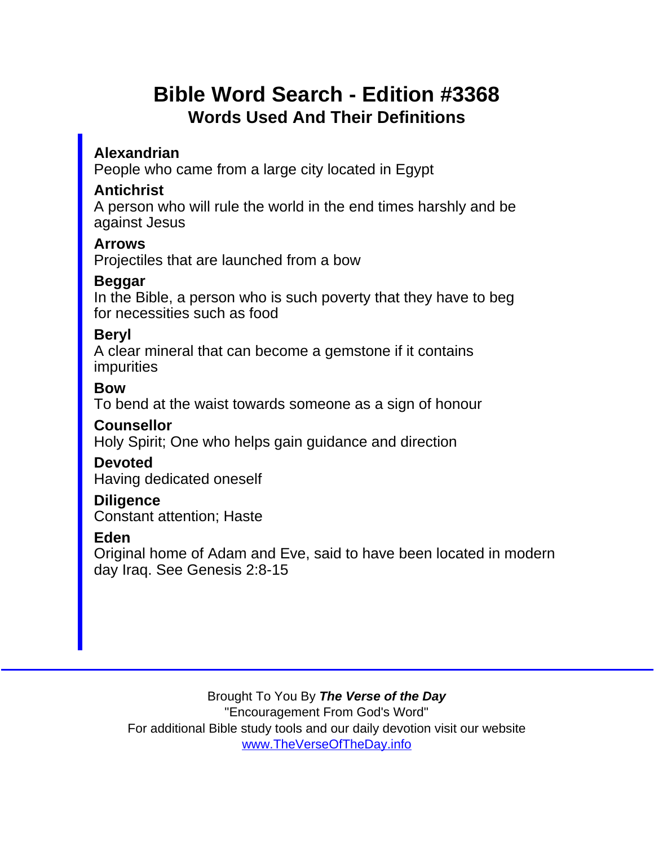# Bible Word Search - Edition #3368 Words Used And Their Definitions

Alexandrian

People who came from a large city located in Egypt

**Antichrist** 

A person who will rule the world in the end times harshly and be against Jesus

Arrows

Projectiles that are launched from a bow

Beggar

In the Bible, a person who is such poverty that they have to beg for necessities such as food

**Bervl** 

A clear mineral that can become a gemstone if it contains impurities

Bow

To bend at the waist towards someone as a sign of honour

**Counsellor** 

Holy Spirit; One who helps gain guidance and direction

Devoted

Having dedicated oneself

**Diligence** Constant attention; Haste

Eden

Original home of Adam and Eve, said to have been located in modern day Iraq. See Genesis 2:8-15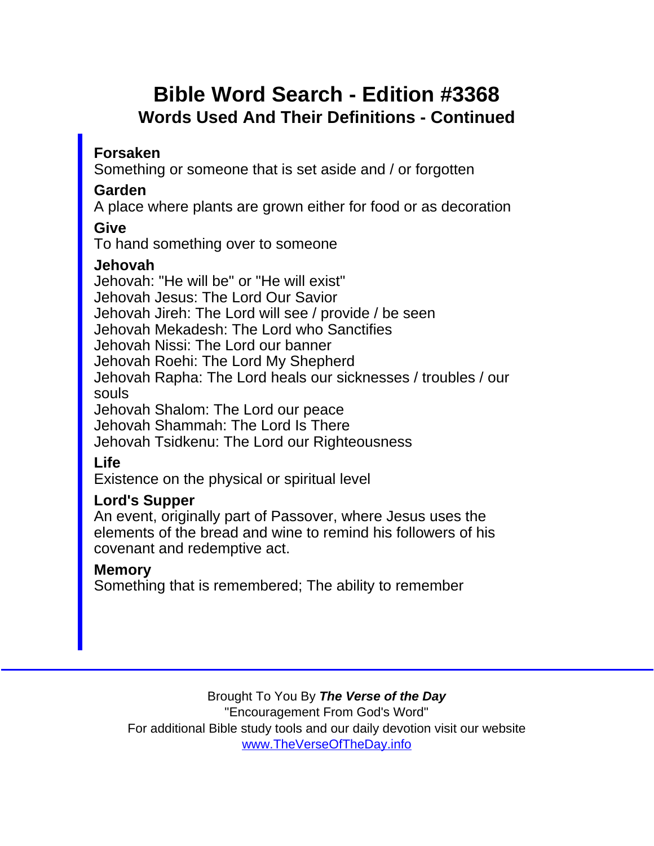# Bible Word Search - Edition #3368 Words Used And Their Definitions - Continued

Forsaken

Something or someone that is set aside and / or forgotten

Garden

A place where plants are grown either for food or as decoration

Give

To hand something over to someone

Jehovah

Jehovah: "He will be" or "He will exist" Jehovah Jesus: The Lord Our Savior Jehovah Jireh: The Lord will see / provide / be seen Jehovah Mekadesh: The Lord who Sanctifies Jehovah Nissi: The Lord our banner Jehovah Roehi: The Lord My Shepherd Jehovah Rapha: The Lord heals our sicknesses / troubles / our souls Jehovah Shalom: The Lord our peace Jehovah Shammah: The Lord Is There Jehovah Tsidkenu: The Lord our Righteousness Life Existence on the physical or spiritual level Lord's Supper An event, originally part of Passover, where Jesus uses the elements of the bread and wine to remind his followers of his covenant and redemptive act.

**Memory** 

Something that is remembered; The ability to remember